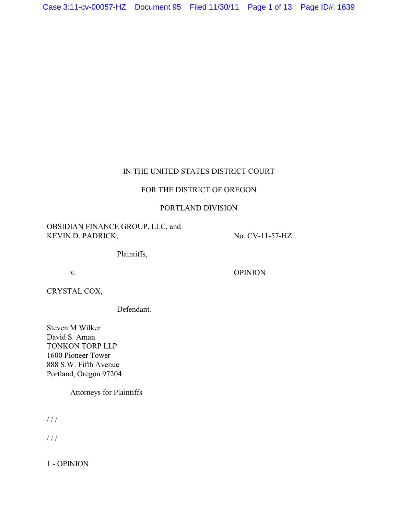# IN THE UNITED STATES DISTRICT COURT

## FOR THE DISTRICT OF OREGON

# PORTLAND DIVISION

# OBSIDIAN FINANCE GROUP, LLC, and KEVIN D. PADRICK, No. CV-11-57-HZ

Plaintiffs,

v. OPINION

CRYSTAL COX,

Defendant.

Steven M Wilker David S. Aman TONKON TORP LLP 1600 Pioneer Tower 888 S.W. Fifth Avenue Portland, Oregon 97204

Attorneys for Plaintiffs

/ / /

/ / /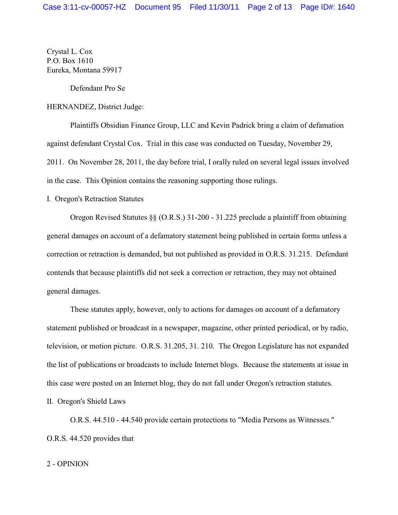Crystal L. Cox P.O. Box 1610 Eureka, Montana 59917

Defendant Pro Se

HERNANDEZ, District Judge:

Plaintiffs Obsidian Finance Group, LLC and Kevin Padrick bring a claim of defamation against defendant Crystal Cox. Trial in this case was conducted on Tuesday, November 29, 2011. On November 28, 2011, the day before trial, I orally ruled on several legal issues involved in the case. This Opinion contains the reasoning supporting those rulings.

I. Oregon's Retraction Statutes

Oregon Revised Statutes §§ (O.R.S.) 31-200 - 31.225 preclude a plaintiff from obtaining general damages on account of a defamatory statement being published in certain forms unless a correction or retraction is demanded, but not published as provided in O.R.S. 31.215. Defendant contends that because plaintiffs did not seek a correction or retraction, they may not obtained general damages.

These statutes apply, however, only to actions for damages on account of a defamatory statement published or broadcast in a newspaper, magazine, other printed periodical, or by radio, television, or motion picture. O.R.S. 31.205, 31. 210. The Oregon Legislature has not expanded the list of publications or broadcasts to include Internet blogs. Because the statements at issue in this case were posted on an Internet blog, they do not fall under Oregon's retraction statutes.

II. Oregon's Shield Laws

O.R.S. 44.510 - 44.540 provide certain protections to "Media Persons as Witnesses." O.R.S. 44.520 provides that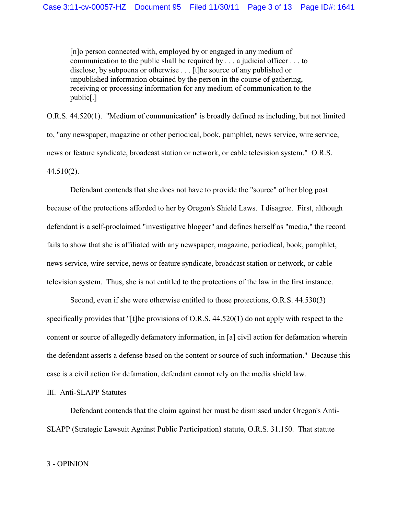[n]o person connected with, employed by or engaged in any medium of communication to the public shall be required by . . . a judicial officer . . . to disclose, by subpoena or otherwise . . . [t]he source of any published or unpublished information obtained by the person in the course of gathering, receiving or processing information for any medium of communication to the public[.]

O.R.S. 44.520(1). "Medium of communication" is broadly defined as including, but not limited to, "any newspaper, magazine or other periodical, book, pamphlet, news service, wire service, news or feature syndicate, broadcast station or network, or cable television system." O.R.S. 44.510(2).

Defendant contends that she does not have to provide the "source" of her blog post because of the protections afforded to her by Oregon's Shield Laws. I disagree. First, although defendant is a self-proclaimed "investigative blogger" and defines herself as "media," the record fails to show that she is affiliated with any newspaper, magazine, periodical, book, pamphlet, news service, wire service, news or feature syndicate, broadcast station or network, or cable television system. Thus, she is not entitled to the protections of the law in the first instance.

Second, even if she were otherwise entitled to those protections, O.R.S. 44.530(3) specifically provides that "[t]he provisions of O.R.S. 44.520(1) do not apply with respect to the content or source of allegedly defamatory information, in [a] civil action for defamation wherein the defendant asserts a defense based on the content or source of such information." Because this case is a civil action for defamation, defendant cannot rely on the media shield law.

III. Anti-SLAPP Statutes

Defendant contends that the claim against her must be dismissed under Oregon's Anti-SLAPP (Strategic Lawsuit Against Public Participation) statute, O.R.S. 31.150. That statute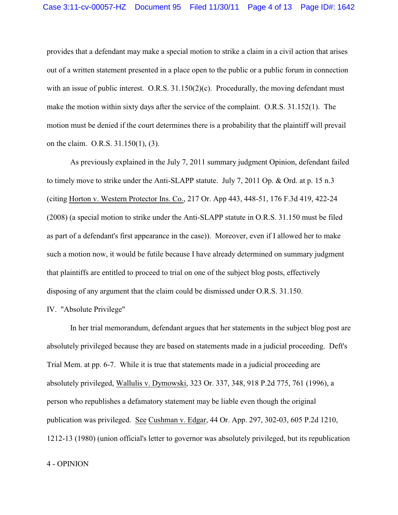provides that a defendant may make a special motion to strike a claim in a civil action that arises out of a written statement presented in a place open to the public or a public forum in connection with an issue of public interest. O.R.S. 31.150(2)(c). Procedurally, the moving defendant must make the motion within sixty days after the service of the complaint. O.R.S. 31.152(1). The motion must be denied if the court determines there is a probability that the plaintiff will prevail on the claim. O.R.S. 31.150(1), (3).

As previously explained in the July 7, 2011 summary judgment Opinion, defendant failed to timely move to strike under the Anti-SLAPP statute. July 7, 2011 Op. & Ord. at p. 15 n.3 (citing Horton v. Western Protector Ins. Co., 217 Or. App 443, 448-51, 176 F.3d 419, 422-24 (2008) (a special motion to strike under the Anti-SLAPP statute in O.R.S. 31.150 must be filed as part of a defendant's first appearance in the case)). Moreover, even if I allowed her to make such a motion now, it would be futile because I have already determined on summary judgment that plaintiffs are entitled to proceed to trial on one of the subject blog posts, effectively disposing of any argument that the claim could be dismissed under O.R.S. 31.150.

### IV. "Absolute Privilege"

In her trial memorandum, defendant argues that her statements in the subject blog post are absolutely privileged because they are based on statements made in a judicial proceeding. Deft's Trial Mem. at pp. 6-7. While it is true that statements made in a judicial proceeding are absolutely privileged, Wallulis v. Dymowski, 323 Or. 337, 348, 918 P.2d 775, 761 (1996), a person who republishes a defamatory statement may be liable even though the original publication was privileged. See Cushman v. Edgar, 44 Or. App. 297, 302-03, 605 P.2d 1210, 1212-13 (1980) (union official's letter to governor was absolutely privileged, but its republication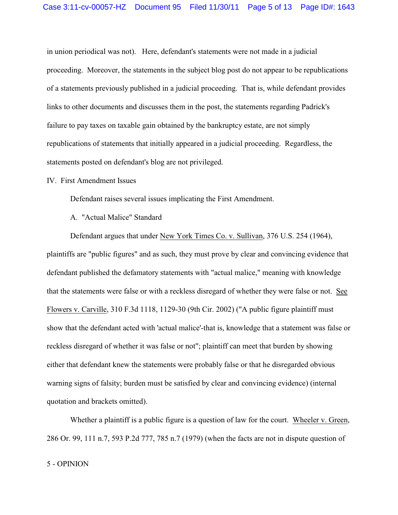in union periodical was not). Here, defendant's statements were not made in a judicial proceeding. Moreover, the statements in the subject blog post do not appear to be republications of a statements previously published in a judicial proceeding. That is, while defendant provides links to other documents and discusses them in the post, the statements regarding Padrick's failure to pay taxes on taxable gain obtained by the bankruptcy estate, are not simply republications of statements that initially appeared in a judicial proceeding. Regardless, the statements posted on defendant's blog are not privileged.

#### IV. First Amendment Issues

Defendant raises several issues implicating the First Amendment.

A. "Actual Malice" Standard

Defendant argues that under New York Times Co. v. Sullivan, 376 U.S. 254 (1964), plaintiffs are "public figures" and as such, they must prove by clear and convincing evidence that defendant published the defamatory statements with "actual malice," meaning with knowledge that the statements were false or with a reckless disregard of whether they were false or not. See Flowers v. Carville, 310 F.3d 1118, 1129-30 (9th Cir. 2002) ("A public figure plaintiff must show that the defendant acted with 'actual malice'-that is, knowledge that a statement was false or reckless disregard of whether it was false or not"; plaintiff can meet that burden by showing either that defendant knew the statements were probably false or that he disregarded obvious warning signs of falsity; burden must be satisfied by clear and convincing evidence) (internal quotation and brackets omitted).

Whether a plaintiff is a public figure is a question of law for the court. Wheeler v. Green, 286 Or. 99, 111 n.7, 593 P.2d 777, 785 n.7 (1979) (when the facts are not in dispute question of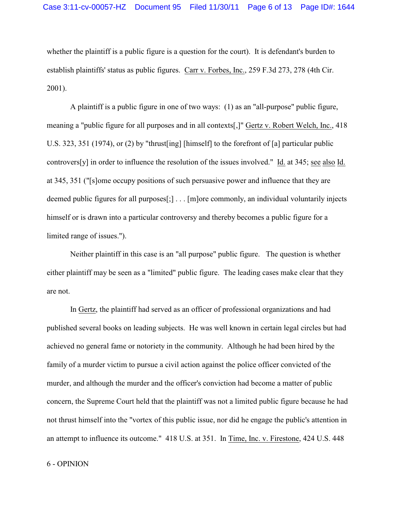whether the plaintiff is a public figure is a question for the court). It is defendant's burden to establish plaintiffs' status as public figures. Carr v. Forbes, Inc., 259 F.3d 273, 278 (4th Cir. 2001).

A plaintiff is a public figure in one of two ways: (1) as an "all-purpose" public figure, meaning a "public figure for all purposes and in all contexts[,]" Gertz v. Robert Welch, Inc., 418 U.S. 323, 351 (1974), or (2) by "thrust[ing] [himself] to the forefront of [a] particular public controvers[y] in order to influence the resolution of the issues involved." Id. at 345; see also Id. at 345, 351 ("[s]ome occupy positions of such persuasive power and influence that they are deemed public figures for all purposes[;] . . . [m]ore commonly, an individual voluntarily injects himself or is drawn into a particular controversy and thereby becomes a public figure for a limited range of issues.").

Neither plaintiff in this case is an "all purpose" public figure. The question is whether either plaintiff may be seen as a "limited" public figure. The leading cases make clear that they are not.

In Gertz, the plaintiff had served as an officer of professional organizations and had published several books on leading subjects. He was well known in certain legal circles but had achieved no general fame or notoriety in the community. Although he had been hired by the family of a murder victim to pursue a civil action against the police officer convicted of the murder, and although the murder and the officer's conviction had become a matter of public concern, the Supreme Court held that the plaintiff was not a limited public figure because he had not thrust himself into the "vortex of this public issue, nor did he engage the public's attention in an attempt to influence its outcome." 418 U.S. at 351. In Time, Inc. v. Firestone, 424 U.S. 448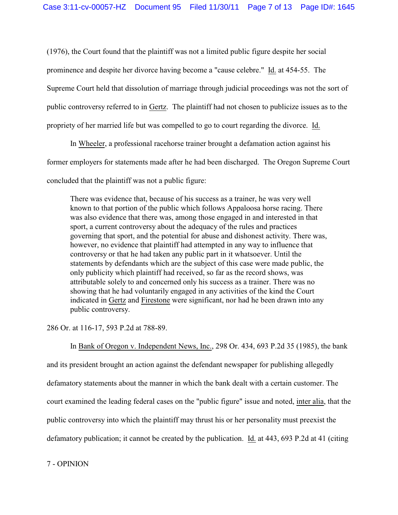(1976), the Court found that the plaintiff was not a limited public figure despite her social prominence and despite her divorce having become a "cause celebre." Id. at 454-55. The Supreme Court held that dissolution of marriage through judicial proceedings was not the sort of public controversy referred to in Gertz. The plaintiff had not chosen to publicize issues as to the propriety of her married life but was compelled to go to court regarding the divorce. Id.

In Wheeler, a professional racehorse trainer brought a defamation action against his former employers for statements made after he had been discharged. The Oregon Supreme Court concluded that the plaintiff was not a public figure:

There was evidence that, because of his success as a trainer, he was very well known to that portion of the public which follows Appaloosa horse racing. There was also evidence that there was, among those engaged in and interested in that sport, a current controversy about the adequacy of the rules and practices governing that sport, and the potential for abuse and dishonest activity. There was, however, no evidence that plaintiff had attempted in any way to influence that controversy or that he had taken any public part in it whatsoever. Until the statements by defendants which are the subject of this case were made public, the only publicity which plaintiff had received, so far as the record shows, was attributable solely to and concerned only his success as a trainer. There was no showing that he had voluntarily engaged in any activities of the kind the Court indicated in Gertz and Firestone were significant, nor had he been drawn into any public controversy.

286 Or. at 116-17, 593 P.2d at 788-89.

In Bank of Oregon v. Independent News, Inc., 298 Or. 434, 693 P.2d 35 (1985), the bank and its president brought an action against the defendant newspaper for publishing allegedly defamatory statements about the manner in which the bank dealt with a certain customer. The court examined the leading federal cases on the "public figure" issue and noted, inter alia, that the public controversy into which the plaintiff may thrust his or her personality must preexist the defamatory publication; it cannot be created by the publication. Id. at 443, 693 P.2d at 41 (citing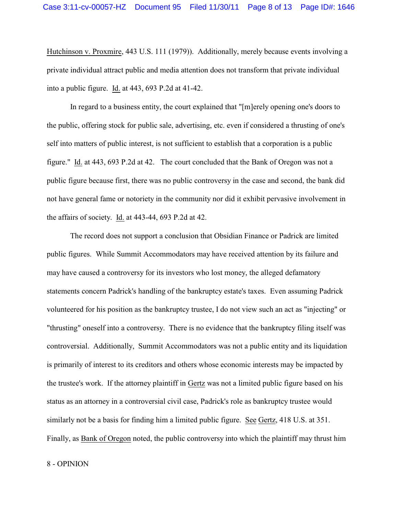Hutchinson v. Proxmire, 443 U.S. 111 (1979)). Additionally, merely because events involving a private individual attract public and media attention does not transform that private individual into a public figure. Id. at 443, 693 P.2d at 41-42.

In regard to a business entity, the court explained that "[m]erely opening one's doors to the public, offering stock for public sale, advertising, etc. even if considered a thrusting of one's self into matters of public interest, is not sufficient to establish that a corporation is a public figure." Id. at 443, 693 P.2d at 42. The court concluded that the Bank of Oregon was not a public figure because first, there was no public controversy in the case and second, the bank did not have general fame or notoriety in the community nor did it exhibit pervasive involvement in the affairs of society. Id. at 443-44, 693 P.2d at 42.

The record does not support a conclusion that Obsidian Finance or Padrick are limited public figures. While Summit Accommodators may have received attention by its failure and may have caused a controversy for its investors who lost money, the alleged defamatory statements concern Padrick's handling of the bankruptcy estate's taxes. Even assuming Padrick volunteered for his position as the bankruptcy trustee, I do not view such an act as "injecting" or "thrusting" oneself into a controversy. There is no evidence that the bankruptcy filing itself was controversial. Additionally, Summit Accommodators was not a public entity and its liquidation is primarily of interest to its creditors and others whose economic interests may be impacted by the trustee's work. If the attorney plaintiff in Gertz was not a limited public figure based on his status as an attorney in a controversial civil case, Padrick's role as bankruptcy trustee would similarly not be a basis for finding him a limited public figure. See Gertz, 418 U.S. at 351. Finally, as Bank of Oregon noted, the public controversy into which the plaintiff may thrust him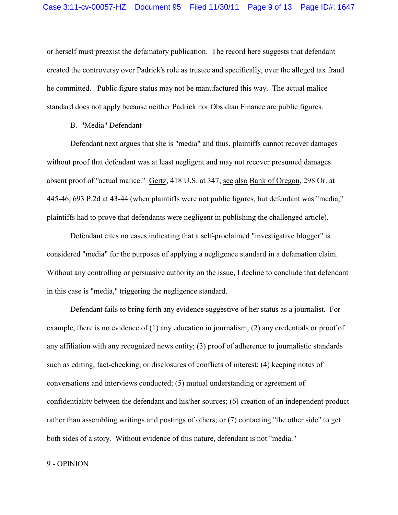or herself must preexist the defamatory publication. The record here suggests that defendant created the controversy over Padrick's role as trustee and specifically, over the alleged tax fraud he committed. Public figure status may not be manufactured this way. The actual malice standard does not apply because neither Padrick nor Obsidian Finance are public figures.

B. "Media" Defendant

Defendant next argues that she is "media" and thus, plaintiffs cannot recover damages without proof that defendant was at least negligent and may not recover presumed damages absent proof of "actual malice." Gertz, 418 U.S. at 347; see also Bank of Oregon, 298 Or. at 445-46, 693 P.2d at 43-44 (when plaintiffs were not public figures, but defendant was "media," plaintiffs had to prove that defendants were negligent in publishing the challenged article).

Defendant cites no cases indicating that a self-proclaimed "investigative blogger" is considered "media" for the purposes of applying a negligence standard in a defamation claim. Without any controlling or persuasive authority on the issue, I decline to conclude that defendant in this case is "media," triggering the negligence standard.

Defendant fails to bring forth any evidence suggestive of her status as a journalist. For example, there is no evidence of (1) any education in journalism; (2) any credentials or proof of any affiliation with any recognized news entity; (3) proof of adherence to journalistic standards such as editing, fact-checking, or disclosures of conflicts of interest; (4) keeping notes of conversations and interviews conducted; (5) mutual understanding or agreement of confidentiality between the defendant and his/her sources; (6) creation of an independent product rather than assembling writings and postings of others; or (7) contacting "the other side" to get both sides of a story. Without evidence of this nature, defendant is not "media."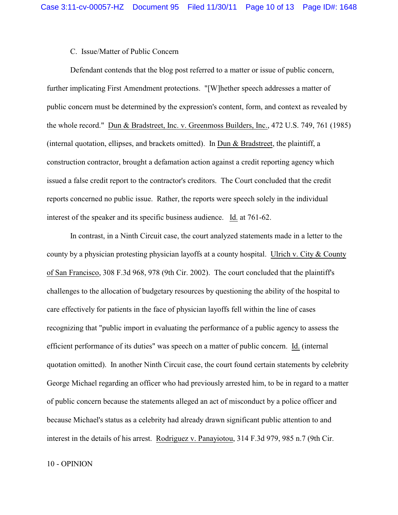## C. Issue/Matter of Public Concern

Defendant contends that the blog post referred to a matter or issue of public concern, further implicating First Amendment protections. "[W]hether speech addresses a matter of public concern must be determined by the expression's content, form, and context as revealed by the whole record." Dun & Bradstreet, Inc. v. Greenmoss Builders, Inc., 472 U.S. 749, 761 (1985) (internal quotation, ellipses, and brackets omitted). In Dun & Bradstreet, the plaintiff, a construction contractor, brought a defamation action against a credit reporting agency which issued a false credit report to the contractor's creditors. The Court concluded that the credit reports concerned no public issue. Rather, the reports were speech solely in the individual interest of the speaker and its specific business audience. Id. at 761-62.

In contrast, in a Ninth Circuit case, the court analyzed statements made in a letter to the county by a physician protesting physician layoffs at a county hospital. Ulrich v. City & County of San Francisco, 308 F.3d 968, 978 (9th Cir. 2002). The court concluded that the plaintiff's challenges to the allocation of budgetary resources by questioning the ability of the hospital to care effectively for patients in the face of physician layoffs fell within the line of cases recognizing that "public import in evaluating the performance of a public agency to assess the efficient performance of its duties" was speech on a matter of public concern. Id. (internal quotation omitted). In another Ninth Circuit case, the court found certain statements by celebrity George Michael regarding an officer who had previously arrested him, to be in regard to a matter of public concern because the statements alleged an act of misconduct by a police officer and because Michael's status as a celebrity had already drawn significant public attention to and interest in the details of his arrest. Rodriguez v. Panayiotou, 314 F.3d 979, 985 n.7 (9th Cir.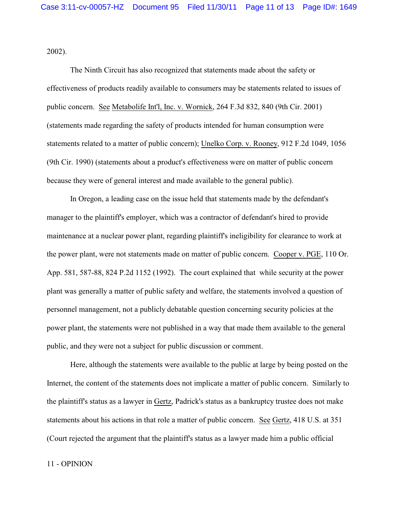2002).

The Ninth Circuit has also recognized that statements made about the safety or effectiveness of products readily available to consumers may be statements related to issues of public concern. See Metabolife Int'l, Inc. v. Wornick, 264 F.3d 832, 840 (9th Cir. 2001) (statements made regarding the safety of products intended for human consumption were statements related to a matter of public concern); Unelko Corp. v. Rooney, 912 F.2d 1049, 1056 (9th Cir. 1990) (statements about a product's effectiveness were on matter of public concern because they were of general interest and made available to the general public).

In Oregon, a leading case on the issue held that statements made by the defendant's manager to the plaintiff's employer, which was a contractor of defendant's hired to provide maintenance at a nuclear power plant, regarding plaintiff's ineligibility for clearance to work at the power plant, were not statements made on matter of public concern. Cooper v. PGE, 110 Or. App. 581, 587-88, 824 P.2d 1152 (1992). The court explained that while security at the power plant was generally a matter of public safety and welfare, the statements involved a question of personnel management, not a publicly debatable question concerning security policies at the power plant, the statements were not published in a way that made them available to the general public, and they were not a subject for public discussion or comment.

Here, although the statements were available to the public at large by being posted on the Internet, the content of the statements does not implicate a matter of public concern. Similarly to the plaintiff's status as a lawyer in Gertz, Padrick's status as a bankruptcy trustee does not make statements about his actions in that role a matter of public concern. See Gertz, 418 U.S. at 351 (Court rejected the argument that the plaintiff's status as a lawyer made him a public official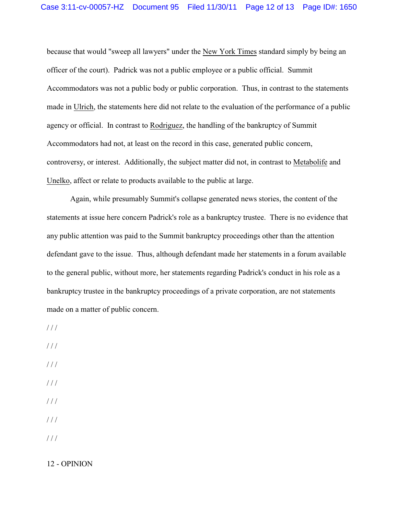because that would "sweep all lawyers" under the New York Times standard simply by being an officer of the court). Padrick was not a public employee or a public official. Summit Accommodators was not a public body or public corporation. Thus, in contrast to the statements made in Ulrich, the statements here did not relate to the evaluation of the performance of a public agency or official. In contrast to Rodriguez, the handling of the bankruptcy of Summit Accommodators had not, at least on the record in this case, generated public concern, controversy, or interest. Additionally, the subject matter did not, in contrast to Metabolife and Unelko, affect or relate to products available to the public at large.

Again, while presumably Summit's collapse generated news stories, the content of the statements at issue here concern Padrick's role as a bankruptcy trustee. There is no evidence that any public attention was paid to the Summit bankruptcy proceedings other than the attention defendant gave to the issue. Thus, although defendant made her statements in a forum available to the general public, without more, her statements regarding Padrick's conduct in his role as a bankruptcy trustee in the bankruptcy proceedings of a private corporation, are not statements made on a matter of public concern.

 $//$ 

/ / /

/ / /

- / / /
- $1/1$

/ / /

/ / /